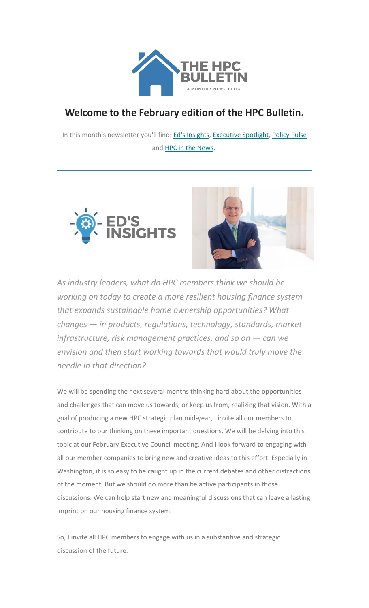

# **Welcome to the February edition of the HPC Bulletin.**

In this month's newsletter you'll find: Ed's [Insights,](#page-0-0) [Executive](#page-1-0) Spotlight, [Policy Pulse](#page-2-0) and [HPC in the News.](#page-5-0)





<span id="page-0-0"></span>*As industry leaders, what do HPC members think we should be working on today to create a more resilient housing finance system that expands sustainable home ownership opportunities? What changes — in products, regulations, technology, standards, market infrastructure, risk management practices, and so on – can we envision and then start working towards that would truly move the needle in that direction?*

We will be spending the next several months thinking hard about the opportunities and challenges that can move us towards, or keep us from, realizing that vision. With a goal of producing a new HPC strategic plan mid-year, I invite all our members to contribute to our thinking on these important questions. We will be delving into this topic at our February Executive Council meeting. And I look forward to engaging with all our member companies to bring new and creative ideas to this effort. Especially in Washington, it is so easy to be caught up in the current debates and other distractions of the moment. But we should do more than be active participants in those discussions. We can help start new and meaningful discussions that can leave a lasting imprint on our housing finance system.

So, I invite all HPC members to engage with us in a substantive and strategic discussion of the future.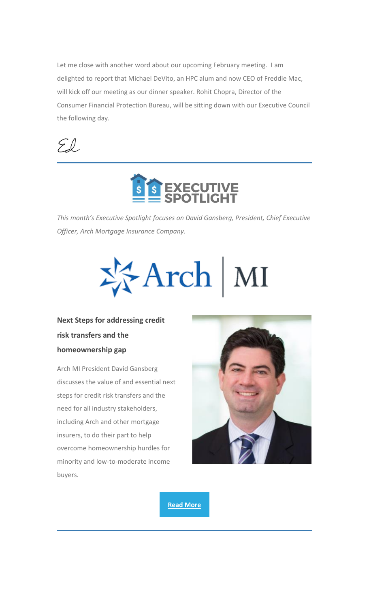Let me close with another word about our upcoming February meeting. I am delighted to report that Michael DeVito, an HPC alum and now CEO of Freddie Mac, will kick off our meeting as our dinner speaker. Rohit Chopra, Director of the Consumer Financial Protection Bureau, will be sitting down with our Executive Council the following day.

 $Zl$ 



<span id="page-1-0"></span>*This month's Executive Spotlight focuses on David Gansberg, President, Chief Executive Officer, Arch Mortgage Insurance Company.*



**Next Steps for addressing credit risk transfers and the homeownership gap**

Arch MI President David Gansberg discusses the value of and essential next steps for credit risk transfers and the need for all industry stakeholders, including Arch and other mortgage insurers, to do their part to help overcome homeownership hurdles for minority and low-to-moderate income buyers.



**[Read More](https://nam12.safelinks.protection.outlook.com/?url=https%3A%2F%2Fhousingpolicycouncil.us4.list-manage.com%2Ftrack%2Fclick%3Fu%3D5140623077e4523696cc45400%26id%3D5a73f142b5%26e%3Dc1f6e13f3b&data=04%7C01%7CChris.Monaco%40housingpolicycouncil.org%7C6546b76898ad47e9cfa608d9e57e94d8%7Ca05a64bbd6ba4776b9825a9e6644ad76%7C1%7C0%7C637793155343419852%7CUnknown%7CTWFpbGZsb3d8eyJWIjoiMC4wLjAwMDAiLCJQIjoiV2luMzIiLCJBTiI6Ik1haWwiLCJXVCI6Mn0%3D%7C3000&sdata=609W9KmAefskaatOi%2F0qX7u3w2ZxvXmcpaLdFzidNac%3D&reserved=0)**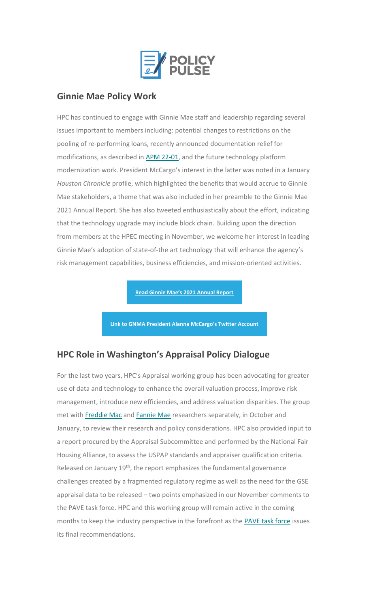

## <span id="page-2-0"></span>**Ginnie Mae Policy Work**

HPC has continued to engage with Ginnie Mae staff and leadership regarding several issues important to members including: potential changes to restrictions on the pooling of re-performing loans, recently announced documentation relief for modifications, as described in [APM 22-01,](https://nam12.safelinks.protection.outlook.com/?url=https%3A%2F%2Fhousingpolicycouncil.us4.list-manage.com%2Ftrack%2Fclick%3Fu%3D5140623077e4523696cc45400%26id%3D7011a79e2c%26e%3Dc1f6e13f3b&data=04%7C01%7CChris.Monaco%40housingpolicycouncil.org%7C6546b76898ad47e9cfa608d9e57e94d8%7Ca05a64bbd6ba4776b9825a9e6644ad76%7C1%7C0%7C637793155343419852%7CUnknown%7CTWFpbGZsb3d8eyJWIjoiMC4wLjAwMDAiLCJQIjoiV2luMzIiLCJBTiI6Ik1haWwiLCJXVCI6Mn0%3D%7C3000&sdata=8VL0n9ARnYLysmDG0YJeh%2BOYKVsNiofRtqy7FSEenMw%3D&reserved=0) and the future technology platform modernization work. President McCargo's interest in the latter was noted in a January *Houston Chronicle* profile, which highlighted the benefits that would accrue to Ginnie Mae stakeholders, a theme that was also included in her preamble to the Ginnie Mae 2021 Annual Report. She has also tweeted enthusiastically about the effort, indicating that the technology upgrade may include block chain. Building upon the direction from members at the HPEC meeting in November, we welcome her interest in leading Ginnie Mae's adoption of state-of-the art technology that will enhance the agency's risk management capabilities, business efficiencies, and mission-oriented activities.

**[Read Ginnie Mae's 2021 Annual Report](https://nam12.safelinks.protection.outlook.com/?url=https%3A%2F%2Fhousingpolicycouncil.us4.list-manage.com%2Ftrack%2Fclick%3Fu%3D5140623077e4523696cc45400%26id%3D9b17d8bbbb%26e%3Dc1f6e13f3b&data=04%7C01%7CChris.Monaco%40housingpolicycouncil.org%7C6546b76898ad47e9cfa608d9e57e94d8%7Ca05a64bbd6ba4776b9825a9e6644ad76%7C1%7C0%7C637793155343419852%7CUnknown%7CTWFpbGZsb3d8eyJWIjoiMC4wLjAwMDAiLCJQIjoiV2luMzIiLCJBTiI6Ik1haWwiLCJXVCI6Mn0%3D%7C3000&sdata=h8pjAvoPvgrPmZfS01JFocxoJmDp5UO7hywXS%2BR1NUA%3D&reserved=0)**

**[Link to GNMA President Alanna McCargo's Twitter Account](https://nam12.safelinks.protection.outlook.com/?url=https%3A%2F%2Fhousingpolicycouncil.us4.list-manage.com%2Ftrack%2Fclick%3Fu%3D5140623077e4523696cc45400%26id%3D1c13b8589e%26e%3Dc1f6e13f3b&data=04%7C01%7CChris.Monaco%40housingpolicycouncil.org%7C6546b76898ad47e9cfa608d9e57e94d8%7Ca05a64bbd6ba4776b9825a9e6644ad76%7C1%7C0%7C637793155343419852%7CUnknown%7CTWFpbGZsb3d8eyJWIjoiMC4wLjAwMDAiLCJQIjoiV2luMzIiLCJBTiI6Ik1haWwiLCJXVCI6Mn0%3D%7C3000&sdata=ZCq%2FvccFjAWuvOijvOjpmM3jjAd9neEsr8s3hsmXz%2Fw%3D&reserved=0)**

### **HPC Role in Washington's Appraisal Policy Dialogue**

For the last two years, HPC's Appraisal working group has been advocating for greater use of data and technology to enhance the overall valuation process, improve risk management, introduce new efficiencies, and address valuation disparities. The group met with [Freddie Mac](https://nam12.safelinks.protection.outlook.com/?url=https%3A%2F%2Fhousingpolicycouncil.us4.list-manage.com%2Ftrack%2Fclick%3Fu%3D5140623077e4523696cc45400%26id%3D1224cffbea%26e%3Dc1f6e13f3b&data=04%7C01%7CChris.Monaco%40housingpolicycouncil.org%7C6546b76898ad47e9cfa608d9e57e94d8%7Ca05a64bbd6ba4776b9825a9e6644ad76%7C1%7C0%7C637793155343419852%7CUnknown%7CTWFpbGZsb3d8eyJWIjoiMC4wLjAwMDAiLCJQIjoiV2luMzIiLCJBTiI6Ik1haWwiLCJXVCI6Mn0%3D%7C3000&sdata=5vIakqI6cLRtcqAuJ5Sz%2FB%2Bepj7N41qQaqAWiraFMt0%3D&reserved=0) and [Fannie Mae](https://nam12.safelinks.protection.outlook.com/?url=https%3A%2F%2Fhousingpolicycouncil.us4.list-manage.com%2Ftrack%2Fclick%3Fu%3D5140623077e4523696cc45400%26id%3D918a28605c%26e%3Dc1f6e13f3b&data=04%7C01%7CChris.Monaco%40housingpolicycouncil.org%7C6546b76898ad47e9cfa608d9e57e94d8%7Ca05a64bbd6ba4776b9825a9e6644ad76%7C1%7C0%7C637793155343419852%7CUnknown%7CTWFpbGZsb3d8eyJWIjoiMC4wLjAwMDAiLCJQIjoiV2luMzIiLCJBTiI6Ik1haWwiLCJXVCI6Mn0%3D%7C3000&sdata=mPnyD3OxS72SMlCKSSZogIC3bZKXrKycKazGAsk0e6E%3D&reserved=0) researchers separately, in October and January, to review their research and policy considerations. HPC also provided input to a report procured by the Appraisal Subcommittee and performed by the National Fair Housing Alliance, to assess the USPAP standards and appraiser qualification criteria. Released on January 19<sup>th</sup>, the report emphasizes the fundamental governance challenges created by a fragmented regulatory regime as well as the need for the GSE appraisal data to be released – two points emphasized in our November comments to the PAVE task force. HPC and this working group will remain active in the coming months to keep the industry perspective in the forefront as the [PAVE task force](https://nam12.safelinks.protection.outlook.com/?url=https%3A%2F%2Fhousingpolicycouncil.us4.list-manage.com%2Ftrack%2Fclick%3Fu%3D5140623077e4523696cc45400%26id%3Dd12c1ab761%26e%3Dc1f6e13f3b&data=04%7C01%7CChris.Monaco%40housingpolicycouncil.org%7C6546b76898ad47e9cfa608d9e57e94d8%7Ca05a64bbd6ba4776b9825a9e6644ad76%7C1%7C0%7C637793155343419852%7CUnknown%7CTWFpbGZsb3d8eyJWIjoiMC4wLjAwMDAiLCJQIjoiV2luMzIiLCJBTiI6Ik1haWwiLCJXVCI6Mn0%3D%7C3000&sdata=0jUgWUxlxwbg7DOX8Kpi334EC%2FuYOfmWhq8HJL9P%2FyU%3D&reserved=0) issues its final recommendations.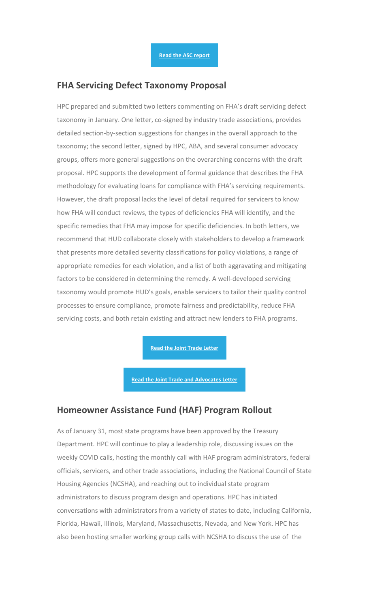#### **FHA Servicing Defect Taxonomy Proposal**

HPC prepared and submitted two letters commenting on FHA's draft servicing defect taxonomy in January. One letter, co-signed by industry trade associations, provides detailed section-by-section suggestions for changes in the overall approach to the taxonomy; the second letter, signed by HPC, ABA, and several consumer advocacy groups, offers more general suggestions on the overarching concerns with the draft proposal. HPC supports the development of formal guidance that describes the FHA methodology for evaluating loans for compliance with FHA's servicing requirements. However, the draft proposal lacks the level of detail required for servicers to know how FHA will conduct reviews, the types of deficiencies FHA will identify, and the specific remedies that FHA may impose for specific deficiencies. In both letters, we recommend that HUD collaborate closely with stakeholders to develop a framework that presents more detailed severity classifications for policy violations, a range of appropriate remedies for each violation, and a list of both aggravating and mitigating factors to be considered in determining the remedy. A well-developed servicing taxonomy would promote HUD's goals, enable servicers to tailor their quality control processes to ensure compliance, promote fairness and predictability, reduce FHA servicing costs, and both retain existing and attract new lenders to FHA programs.

**[Read the Joint Trade Letter](https://nam12.safelinks.protection.outlook.com/?url=https%3A%2F%2Fhousingpolicycouncil.us4.list-manage.com%2Ftrack%2Fclick%3Fu%3D5140623077e4523696cc45400%26id%3Da7afc4bb0a%26e%3Dc1f6e13f3b&data=04%7C01%7CChris.Monaco%40housingpolicycouncil.org%7C6546b76898ad47e9cfa608d9e57e94d8%7Ca05a64bbd6ba4776b9825a9e6644ad76%7C1%7C0%7C637793155343419852%7CUnknown%7CTWFpbGZsb3d8eyJWIjoiMC4wLjAwMDAiLCJQIjoiV2luMzIiLCJBTiI6Ik1haWwiLCJXVCI6Mn0%3D%7C3000&sdata=lNdLDLHnCEKLt6HfZ09584WddOGjIHr%2FRWBj0ksBowI%3D&reserved=0)**

**[Read the Joint Trade and Advocates Letter](https://nam12.safelinks.protection.outlook.com/?url=https%3A%2F%2Fhousingpolicycouncil.us4.list-manage.com%2Ftrack%2Fclick%3Fu%3D5140623077e4523696cc45400%26id%3D78a5bb1948%26e%3Dc1f6e13f3b&data=04%7C01%7CChris.Monaco%40housingpolicycouncil.org%7C6546b76898ad47e9cfa608d9e57e94d8%7Ca05a64bbd6ba4776b9825a9e6644ad76%7C1%7C0%7C637793155343419852%7CUnknown%7CTWFpbGZsb3d8eyJWIjoiMC4wLjAwMDAiLCJQIjoiV2luMzIiLCJBTiI6Ik1haWwiLCJXVCI6Mn0%3D%7C3000&sdata=8I6fyIRKBncnThn6RbXMIN6MjFq32T0SooeFoWhZvkc%3D&reserved=0)**

#### **Homeowner Assistance Fund (HAF) Program Rollout**

As of January 31, most state programs have been approved by the Treasury Department. HPC will continue to play a leadership role, discussing issues on the weekly COVID calls, hosting the monthly call with HAF program administrators, federal officials, servicers, and other trade associations, including the National Council of State Housing Agencies (NCSHA), and reaching out to individual state program administrators to discuss program design and operations. HPC has initiated conversations with administrators from a variety of states to date, including California, Florida, Hawaii, Illinois, Maryland, Massachusetts, Nevada, and New York. HPC has also been hosting smaller working group calls with NCSHA to discuss the use of the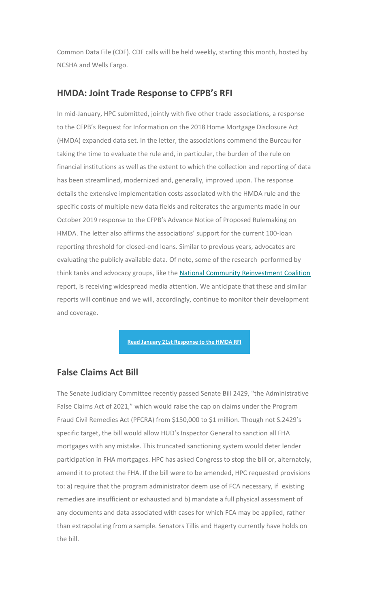Common Data File (CDF). CDF calls will be held weekly, starting this month, hosted by NCSHA and Wells Fargo.

### **HMDA: Joint Trade Response to CFPB's RFI**

In mid-January, HPC submitted, jointly with five other trade associations, a response to the CFPB's Request for Information on the 2018 Home Mortgage Disclosure Act (HMDA) expanded data set. In the letter, the associations commend the Bureau for taking the time to evaluate the rule and, in particular, the burden of the rule on financial institutions as well as the extent to which the collection and reporting of data has been streamlined, modernized and, generally, improved upon. The response details the extensive implementation costs associated with the HMDA rule and the specific costs of multiple new data fields and reiterates the arguments made in our October 2019 response to the CFPB's Advance Notice of Proposed Rulemaking on HMDA. The letter also affirms the associations' support for the current 100-loan reporting threshold for closed-end loans. Similar to previous years, advocates are evaluating the publicly available data. Of note, some of the research performed by think tanks and advocacy groups, like the [National Community Reinvestment Coalition](https://nam12.safelinks.protection.outlook.com/?url=https%3A%2F%2Fhousingpolicycouncil.us4.list-manage.com%2Ftrack%2Fclick%3Fu%3D5140623077e4523696cc45400%26id%3D8fbef1efab%26e%3Dc1f6e13f3b&data=04%7C01%7CChris.Monaco%40housingpolicycouncil.org%7C6546b76898ad47e9cfa608d9e57e94d8%7Ca05a64bbd6ba4776b9825a9e6644ad76%7C1%7C0%7C637793155343419852%7CUnknown%7CTWFpbGZsb3d8eyJWIjoiMC4wLjAwMDAiLCJQIjoiV2luMzIiLCJBTiI6Ik1haWwiLCJXVCI6Mn0%3D%7C3000&sdata=Ii9uwDSwWOYkHLzpnnsns6EvnYM078AlRKBdpVnM2R0%3D&reserved=0) report, is receiving widespread media attention. We anticipate that these and similar reports will continue and we will, accordingly, continue to monitor their development and coverage.

**[Read January 21st Response to the HMDA RFI](https://nam12.safelinks.protection.outlook.com/?url=https%3A%2F%2Fhousingpolicycouncil.us4.list-manage.com%2Ftrack%2Fclick%3Fu%3D5140623077e4523696cc45400%26id%3Dca0770c661%26e%3Dc1f6e13f3b&data=04%7C01%7CChris.Monaco%40housingpolicycouncil.org%7C6546b76898ad47e9cfa608d9e57e94d8%7Ca05a64bbd6ba4776b9825a9e6644ad76%7C1%7C0%7C637793155343419852%7CUnknown%7CTWFpbGZsb3d8eyJWIjoiMC4wLjAwMDAiLCJQIjoiV2luMzIiLCJBTiI6Ik1haWwiLCJXVCI6Mn0%3D%7C3000&sdata=uSbZTRUpHWrIv9gMXrTX%2FgvttD1CiN%2FpAzndoZCMkZg%3D&reserved=0)**

#### **False Claims Act Bill**

The Senate Judiciary Committee recently passed Senate Bill 2429, "the Administrative False Claims Act of 2021," which would raise the cap on claims under the Program Fraud Civil Remedies Act (PFCRA) from \$150,000 to \$1 million. Though not S.2429's specific target, the bill would allow HUD's Inspector General to sanction all FHA mortgages with any mistake. This truncated sanctioning system would deter lender participation in FHA mortgages. HPC has asked Congress to stop the bill or, alternately, amend it to protect the FHA. If the bill were to be amended, HPC requested provisions to: a) require that the program administrator deem use of FCA necessary, if existing remedies are insufficient or exhausted and b) mandate a full physical assessment of any documents and data associated with cases for which FCA may be applied, rather than extrapolating from a sample. Senators Tillis and Hagerty currently have holds on the bill.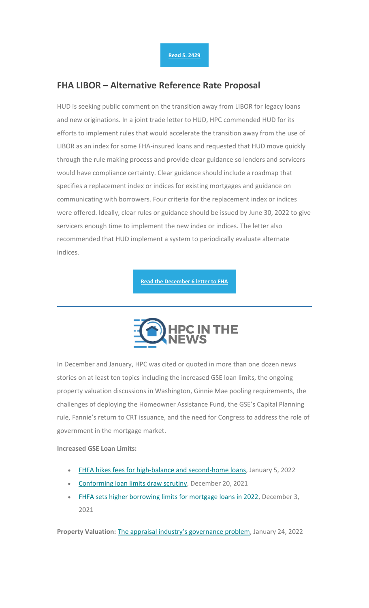### **FHA LIBOR – Alternative Reference Rate Proposal**

HUD is seeking public comment on the transition away from LIBOR for legacy loans and new originations. In a joint trade letter to HUD, HPC commended HUD for its efforts to implement rules that would accelerate the transition away from the use of LIBOR as an index for some FHA-insured loans and requested that HUD move quickly through the rule making process and provide clear guidance so lenders and servicers would have compliance certainty. Clear guidance should include a roadmap that specifies a replacement index or indices for existing mortgages and guidance on communicating with borrowers. Four criteria for the replacement index or indices were offered. Ideally, clear rules or guidance should be issued by June 30, 2022 to give servicers enough time to implement the new index or indices. The letter also recommended that HUD implement a system to periodically evaluate alternate indices.

**[Read the December 6 letter to FHA](https://nam12.safelinks.protection.outlook.com/?url=https%3A%2F%2Fhousingpolicycouncil.us4.list-manage.com%2Ftrack%2Fclick%3Fu%3D5140623077e4523696cc45400%26id%3D11685ece1c%26e%3Dc1f6e13f3b&data=04%7C01%7CChris.Monaco%40housingpolicycouncil.org%7C6546b76898ad47e9cfa608d9e57e94d8%7Ca05a64bbd6ba4776b9825a9e6644ad76%7C1%7C0%7C637793155343419852%7CUnknown%7CTWFpbGZsb3d8eyJWIjoiMC4wLjAwMDAiLCJQIjoiV2luMzIiLCJBTiI6Ik1haWwiLCJXVCI6Mn0%3D%7C3000&sdata=3FbKiFwTNyNd9Vd5SGFPOSmfVhYCNyK5l%2BxLV12Ujt0%3D&reserved=0)**



<span id="page-5-0"></span>In December and January, HPC was cited or quoted in more than one dozen news stories on at least ten topics including the increased GSE loan limits, the ongoing property valuation discussions in Washington, Ginnie Mae pooling requirements, the challenges of deploying the Homeowner Assistance Fund, the GSE's Capital Planning rule, Fannie's return to CRT issuance, and the need for Congress to address the role of government in the mortgage market.

#### **Increased GSE Loan Limits:**

- [FHFA hikes fees for high-balance and second-home loans,](https://nam12.safelinks.protection.outlook.com/?url=https%3A%2F%2Fhousingpolicycouncil.us4.list-manage.com%2Ftrack%2Fclick%3Fu%3D5140623077e4523696cc45400%26id%3D7426894104%26e%3Dc1f6e13f3b&data=04%7C01%7CChris.Monaco%40housingpolicycouncil.org%7C6546b76898ad47e9cfa608d9e57e94d8%7Ca05a64bbd6ba4776b9825a9e6644ad76%7C1%7C0%7C637793155343419852%7CUnknown%7CTWFpbGZsb3d8eyJWIjoiMC4wLjAwMDAiLCJQIjoiV2luMzIiLCJBTiI6Ik1haWwiLCJXVCI6Mn0%3D%7C3000&sdata=Wc8xF4q13B89qJtp6itedZUB1w%2Ff%2BkpI2U6Gima6h%2F4%3D&reserved=0) January 5, 2022
- [Conforming loan limits draw scrutiny,](https://nam12.safelinks.protection.outlook.com/?url=https%3A%2F%2Fhousingpolicycouncil.us4.list-manage.com%2Ftrack%2Fclick%3Fu%3D5140623077e4523696cc45400%26id%3D37d0f53696%26e%3Dc1f6e13f3b&data=04%7C01%7CChris.Monaco%40housingpolicycouncil.org%7C6546b76898ad47e9cfa608d9e57e94d8%7Ca05a64bbd6ba4776b9825a9e6644ad76%7C1%7C0%7C637793155343419852%7CUnknown%7CTWFpbGZsb3d8eyJWIjoiMC4wLjAwMDAiLCJQIjoiV2luMzIiLCJBTiI6Ik1haWwiLCJXVCI6Mn0%3D%7C3000&sdata=BX1T8C%2BZ0FYOrXBHLcEOMCzJH7K0rIoaM0tHjd2W6v0%3D&reserved=0) December 20, 2021
- [FHFA sets higher borrowing limits for mortgage loans in 2022,](https://nam12.safelinks.protection.outlook.com/?url=https%3A%2F%2Fhousingpolicycouncil.us4.list-manage.com%2Ftrack%2Fclick%3Fu%3D5140623077e4523696cc45400%26id%3Df41feaa2f2%26e%3Dc1f6e13f3b&data=04%7C01%7CChris.Monaco%40housingpolicycouncil.org%7C6546b76898ad47e9cfa608d9e57e94d8%7Ca05a64bbd6ba4776b9825a9e6644ad76%7C1%7C0%7C637793155343419852%7CUnknown%7CTWFpbGZsb3d8eyJWIjoiMC4wLjAwMDAiLCJQIjoiV2luMzIiLCJBTiI6Ik1haWwiLCJXVCI6Mn0%3D%7C3000&sdata=v8nK5qOMwbYtkzbEDBVw7S%2BprXMcpKhTMwQatHdYuX8%3D&reserved=0) December 3, 2021

**Property Valuation:** [The appraisal industry's governance problem](https://nam12.safelinks.protection.outlook.com/?url=https%3A%2F%2Fhousingpolicycouncil.us4.list-manage.com%2Ftrack%2Fclick%3Fu%3D5140623077e4523696cc45400%26id%3D06eaee0b9e%26e%3Dc1f6e13f3b&data=04%7C01%7CChris.Monaco%40housingpolicycouncil.org%7C6546b76898ad47e9cfa608d9e57e94d8%7Ca05a64bbd6ba4776b9825a9e6644ad76%7C1%7C0%7C637793155343419852%7CUnknown%7CTWFpbGZsb3d8eyJWIjoiMC4wLjAwMDAiLCJQIjoiV2luMzIiLCJBTiI6Ik1haWwiLCJXVCI6Mn0%3D%7C3000&sdata=TjKS2G8%2BiCfHpb4qzHvM5V5xFFYgmwvL85HewILtLu0%3D&reserved=0), January 24, 2022